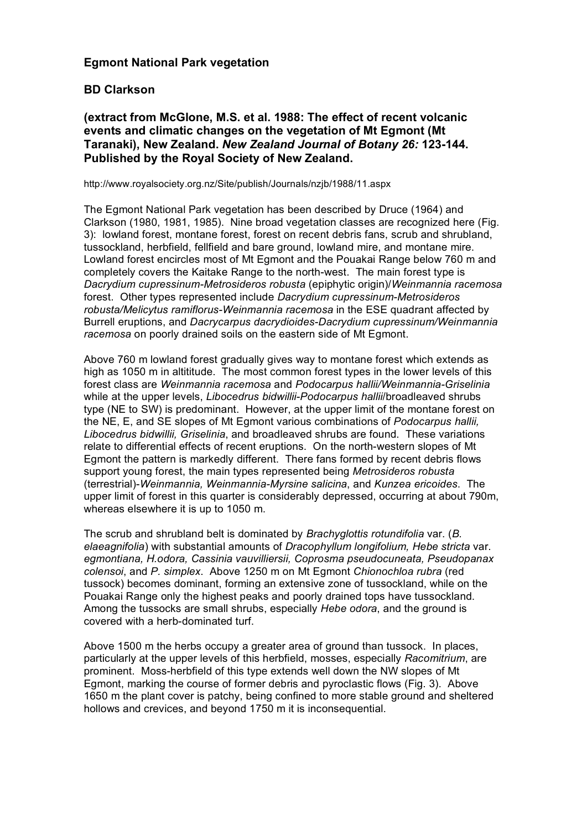## **Egmont National Park vegetation**

## **BD Clarkson**

**(extract from McGlone, M.S. et al. 1988: The effect of recent volcanic events and climatic changes on the vegetation of Mt Egmont (Mt Taranaki), New Zealand.** *New Zealand Journal of Botany 26:* **123-144. Published by the Royal Society of New Zealand.**

http://www.royalsociety.org.nz/Site/publish/Journals/nzjb/1988/11.aspx

The Egmont National Park vegetation has been described by Druce (1964) and Clarkson (1980, 1981, 1985). Nine broad vegetation classes are recognized here (Fig. 3): lowland forest, montane forest, forest on recent debris fans, scrub and shrubland, tussockland, herbfield, fellfield and bare ground, lowland mire, and montane mire. Lowland forest encircles most of Mt Egmont and the Pouakai Range below 760 m and completely covers the Kaitake Range to the north-west. The main forest type is *Dacrydium cupressinum-Metrosideros robusta* (epiphytic origin)/*Weinmannia racemosa*  forest. Other types represented include *Dacrydium cupressinum-Metrosideros robusta/Melicytus ramiflorus-Weinmannia racemosa* in the ESE quadrant affected by Burrell eruptions, and *Dacrycarpus dacrydioides-Dacrydium cupressinum/Weinmannia racemosa* on poorly drained soils on the eastern side of Mt Egmont.

Above 760 m lowland forest gradually gives way to montane forest which extends as high as 1050 m in altititude. The most common forest types in the lower levels of this forest class are *Weinmannia racemosa* and *Podocarpus hallii/Weinmannia-Griselinia* while at the upper levels, *Libocedrus bidwillii-Podocarpus hallii*/broadleaved shrubs type (NE to SW) is predominant. However, at the upper limit of the montane forest on the NE, E, and SE slopes of Mt Egmont various combinations of *Podocarpus hallii, Libocedrus bidwillii, Griselinia*, and broadleaved shrubs are found. These variations relate to differential effects of recent eruptions. On the north-western slopes of Mt Egmont the pattern is markedly different. There fans formed by recent debris flows support young forest, the main types represented being *Metrosideros robusta* (terrestrial)-*Weinmannia, Weinmannia-Myrsine salicina*, and *Kunzea ericoides*. The upper limit of forest in this quarter is considerably depressed, occurring at about 790m, whereas elsewhere it is up to 1050 m.

The scrub and shrubland belt is dominated by *Brachyglottis rotundifolia* var. (*B. elaeagnifolia*) with substantial amounts of *Dracophyllum longifolium, Hebe stricta* var. *egmontiana, H.odora, Cassinia vauvilliersii, Coprosma pseudocuneata, Pseudopanax colensoi*, and *P. simplex*. Above 1250 m on Mt Egmont *Chionochloa rubra* (red tussock) becomes dominant, forming an extensive zone of tussockland, while on the Pouakai Range only the highest peaks and poorly drained tops have tussockland. Among the tussocks are small shrubs, especially *Hebe odora*, and the ground is covered with a herb-dominated turf.

Above 1500 m the herbs occupy a greater area of ground than tussock. In places, particularly at the upper levels of this herbfield, mosses, especially *Racomitrium*, are prominent. Moss-herbfield of this type extends well down the NW slopes of Mt Egmont, marking the course of former debris and pyroclastic flows (Fig. 3). Above 1650 m the plant cover is patchy, being confined to more stable ground and sheltered hollows and crevices, and beyond 1750 m it is inconsequential.